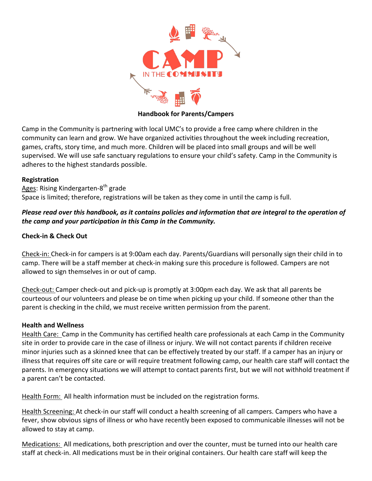

### **Handbook for Parents/Campers**

Camp in the Community is partnering with local UMC's to provide a free camp where children in the community can learn and grow. We have organized activities throughout the week including recreation, games, crafts, story time, and much more. Children will be placed into small groups and will be well supervised. We will use safe sanctuary regulations to ensure your child's safety. Camp in the Community is adheres to the highest standards possible.

## **Registration**

Ages: Rising Kindergarten-8<sup>th</sup> grade Space is limited; therefore, registrations will be taken as they come in until the camp is full.

# Please read over this handbook, as it contains policies and information that are integral to the operation of *the camp and your participation in this Camp in the Community.*

## **Check-in & Check Out**

Check-in: Check-in for campers is at 9:00am each day. Parents/Guardians will personally sign their child in to camp. There will be a staff member at check-in making sure this procedure is followed. Campers are not allowed to sign themselves in or out of camp.

Check-out: Camper check-out and pick-up is promptly at 3:00pm each day. We ask that all parents be courteous of our volunteers and please be on time when picking up your child. If someone other than the parent is checking in the child, we must receive written permission from the parent.

## **Health and Wellness**

Health Care: Camp in the Community has certified health care professionals at each Camp in the Community site in order to provide care in the case of illness or injury. We will not contact parents if children receive minor injuries such as a skinned knee that can be effectively treated by our staff. If a camper has an injury or illness that requires off site care or will require treatment following camp, our health care staff will contact the parents. In emergency situations we will attempt to contact parents first, but we will not withhold treatment if a parent can't be contacted.

Health Form: All health information must be included on the registration forms.

Health Screening: At check-in our staff will conduct a health screening of all campers. Campers who have a fever, show obvious signs of illness or who have recently been exposed to communicable illnesses will not be allowed to stay at camp.

Medications: All medications, both prescription and over the counter, must be turned into our health care staff at check-in. All medications must be in their original containers. Our health care staff will keep the